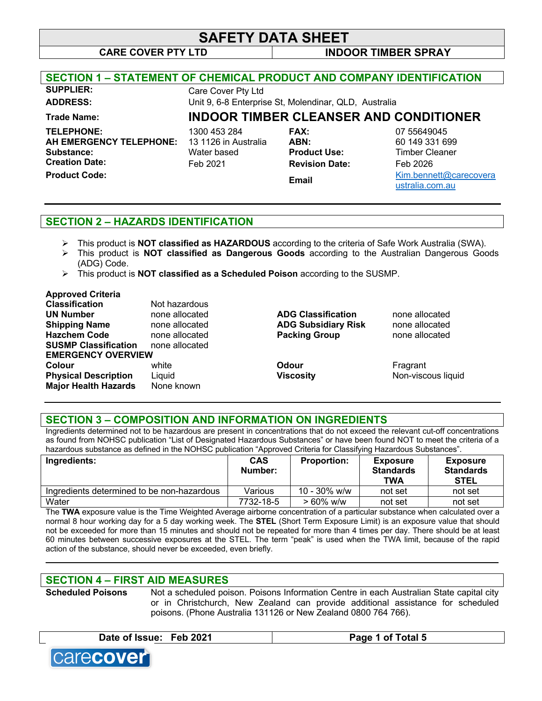**CARE COVER PTY LTD INDOOR TIMBER SPRAY**

| <b>SECTION 1 - STATEMENT OF CHEMICAL PRODUCT AND COMPANY IDENTIFICATION</b>         |                                                                 |                                                                     |                                                             |
|-------------------------------------------------------------------------------------|-----------------------------------------------------------------|---------------------------------------------------------------------|-------------------------------------------------------------|
| <b>SUPPLIER:</b>                                                                    | Care Cover Pty Ltd                                              |                                                                     |                                                             |
| <b>ADDRESS:</b>                                                                     |                                                                 | Unit 9, 6-8 Enterprise St, Molendinar, QLD, Australia               |                                                             |
| Trade Name:                                                                         | <b>INDOOR TIMBER CLEANSER AND CONDITIONER</b>                   |                                                                     |                                                             |
| <b>TELEPHONE:</b><br><b>AH EMERGENCY TELEPHONE:</b><br>Substance:<br>Creation Date: | 1300 453 284<br>13 1126 in Australia<br>Water based<br>Feb 2021 | <b>FAX:</b><br>ABN:<br><b>Product Use:</b><br><b>Revision Date:</b> | 07 55649045<br>60 149 331 699<br>Timber Cleaner<br>Feb 2026 |
| <b>Product Code:</b>                                                                |                                                                 | Email                                                               | Kim.bennett@carecovera<br>ustralia.com.au                   |
|                                                                                     |                                                                 |                                                                     |                                                             |

## **SECTION 2 – HAZARDS IDENTIFICATION**

- Ø This product is **NOT classified as HAZARDOUS** according to the criteria of Safe Work Australia (SWA).
- Ø This product is **NOT classified as Dangerous Goods** according to the Australian Dangerous Goods (ADG) Code.
- Ø This product is **NOT classified as a Scheduled Poison** according to the SUSMP.

#### **Approved Criteria**

| <b>Classification</b>       | Not hazardous  |                            |           |
|-----------------------------|----------------|----------------------------|-----------|
| <b>UN Number</b>            | none allocated | <b>ADG Classification</b>  | none allo |
| <b>Shipping Name</b>        | none allocated | <b>ADG Subsidiary Risk</b> | none allo |
| <b>Hazchem Code</b>         | none allocated | <b>Packing Group</b>       | none allo |
| <b>SUSMP Classification</b> | none allocated |                            |           |
| <b>EMERGENCY OVERVIEW</b>   |                |                            |           |
| Colour                      | white          | <b>Odour</b>               | Fragrant  |
| <b>Physical Description</b> | Liquid         | <b>Viscosity</b>           | Non-visc  |
| <b>Major Health Hazards</b> | None known     |                            |           |

**Lassification hone allocated Shipping Name** none allocated **ADG Subsidiary Risk** none allocated **Hange Code Baze Packing Group Packing Code Packing Group Packing Group Packing Group** 

**Physical Description Physical Description** Non-viscous liquid

### **SECTION 3 – COMPOSITION AND INFORMATION ON INGREDIENTS**

Ingredients determined not to be hazardous are present in concentrations that do not exceed the relevant cut-off concentrations as found from NOHSC publication "List of Designated Hazardous Substances" or have been found NOT to meet the criteria of a hazardous substance as defined in the NOHSC publication "Approved Criteria for Classifying Hazardous Substances".

| Ingredients:                                                | <b>CAS</b><br>Number: | <b>Proportion:</b> | <b>Exposure</b><br><b>Standards</b><br>TWA | <b>Exposure</b><br><b>Standards</b><br><b>STEL</b> |
|-------------------------------------------------------------|-----------------------|--------------------|--------------------------------------------|----------------------------------------------------|
| Ingredients determined to be non-hazardous                  | Various               | $10 - 30\%$ w/w    | not set                                    | not set                                            |
| Water                                                       | 7732-18-5             | $> 60\%$ w/w       | not set                                    | not set                                            |
| _____<br>$-1$<br>$\overline{\phantom{a}}$<br>.<br>$\cdot$ . |                       |                    |                                            |                                                    |

The **TWA** exposure value is the Time Weighted Average airborne concentration of a particular substance when calculated over a normal 8 hour working day for a 5 day working week. The **STEL** (Short Term Exposure Limit) is an exposure value that should not be exceeded for more than 15 minutes and should not be repeated for more than 4 times per day. There should be at least 60 minutes between successive exposures at the STEL. The term "peak" is used when the TWA limit, because of the rapid action of the substance, should never be exceeded, even briefly.

**\_\_\_\_\_\_\_\_\_\_\_\_\_\_\_\_\_\_\_\_\_\_\_\_\_\_\_\_\_\_\_\_\_\_\_\_\_\_\_\_\_\_\_\_\_\_\_\_\_\_\_\_\_\_\_\_\_\_\_\_\_\_\_\_\_\_\_\_\_\_\_\_\_\_\_\_\_\_\_\_\_\_\_\_\_\_\_\_\_\_\_\_**

## **SECTION 4 – FIRST AID MEASURES**

**Scheduled Poisons** Not a scheduled poison. Poisons Information Centre in each Australian State capital city or in Christchurch, New Zealand can provide additional assistance for scheduled poisons. (Phone Australia 131126 or New Zealand 0800 764 766).

**Date of Issue: Feb 2021 Page 1 of Total 5**

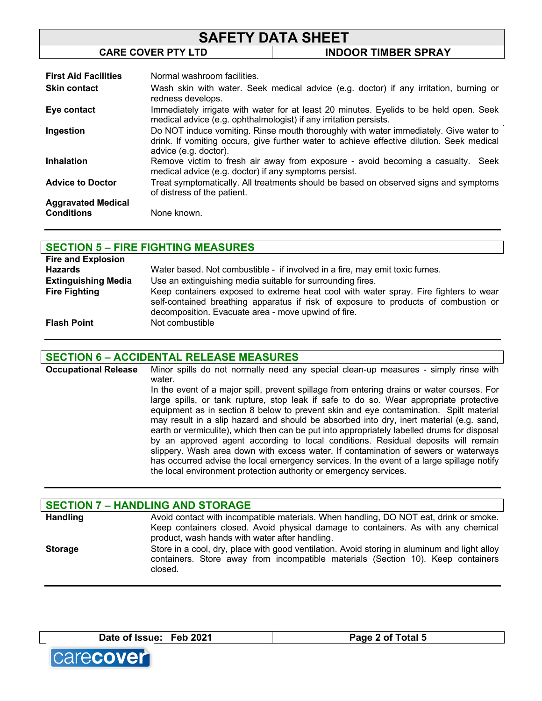| <b>SAFETY DATA SHEET</b>  |                            |  |
|---------------------------|----------------------------|--|
| <b>CARE COVER PTY LTD</b> | <b>INDOOR TIMBER SPRAY</b> |  |
|                           |                            |  |

| <b>First Aid Facilities</b> | Normal washroom facilities.                                                                                                                                                                                |
|-----------------------------|------------------------------------------------------------------------------------------------------------------------------------------------------------------------------------------------------------|
| <b>Skin contact</b>         | Wash skin with water. Seek medical advice (e.g. doctor) if any irritation, burning or<br>redness develops.                                                                                                 |
| Eye contact                 | Immediately irrigate with water for at least 20 minutes. Eyelids to be held open. Seek<br>medical advice (e.g. ophthalmologist) if any irritation persists.                                                |
| Ingestion                   | Do NOT induce vomiting. Rinse mouth thoroughly with water immediately. Give water to<br>drink. If vomiting occurs, give further water to achieve effective dilution. Seek medical<br>advice (e.g. doctor). |
| <b>Inhalation</b>           | Remove victim to fresh air away from exposure - avoid becoming a casualty.<br>Seek<br>medical advice (e.g. doctor) if any symptoms persist.                                                                |
| <b>Advice to Doctor</b>     | Treat symptomatically. All treatments should be based on observed signs and symptoms<br>of distress of the patient.                                                                                        |
| <b>Aggravated Medical</b>   |                                                                                                                                                                                                            |
| <b>Conditions</b>           | None known.                                                                                                                                                                                                |

## **SECTION 5 – FIRE FIGHTING MEASURES**

| <b>Fire and Explosion</b>  |                                                                                                                                                                                                                                    |
|----------------------------|------------------------------------------------------------------------------------------------------------------------------------------------------------------------------------------------------------------------------------|
| <b>Hazards</b>             | Water based. Not combustible - if involved in a fire, may emit toxic fumes.                                                                                                                                                        |
| <b>Extinguishing Media</b> | Use an extinguishing media suitable for surrounding fires.                                                                                                                                                                         |
| <b>Fire Fighting</b>       | Keep containers exposed to extreme heat cool with water spray. Fire fighters to wear<br>self-contained breathing apparatus if risk of exposure to products of combustion or<br>decomposition. Evacuate area - move upwind of fire. |
| <b>Flash Point</b>         | Not combustible                                                                                                                                                                                                                    |

### **SECTION 6 – ACCIDENTAL RELEASE MEASURES**

**Occupational Release** Minor spills do not normally need any special clean-up measures - simply rinse with water. In the event of a major spill, prevent spillage from entering drains or water courses. For large spills, or tank rupture, stop leak if safe to do so. Wear appropriate protective

equipment as in section 8 below to prevent skin and eye contamination. Spilt material may result in a slip hazard and should be absorbed into dry, inert material (e.g. sand, earth or vermiculite), which then can be put into appropriately labelled drums for disposal by an approved agent according to local conditions. Residual deposits will remain slippery. Wash area down with excess water. If contamination of sewers or waterways has occurred advise the local emergency services. In the event of a large spillage notify the local environment protection authority or emergency services.

| <b>SECTION 7 - HANDLING AND STORAGE</b> |                                                                                                                                                                                             |  |
|-----------------------------------------|---------------------------------------------------------------------------------------------------------------------------------------------------------------------------------------------|--|
| <b>Handling</b>                         | Avoid contact with incompatible materials. When handling, DO NOT eat, drink or smoke.                                                                                                       |  |
|                                         | Keep containers closed. Avoid physical damage to containers. As with any chemical<br>product, wash hands with water after handling.                                                         |  |
| <b>Storage</b>                          | Store in a cool, dry, place with good ventilation. Avoid storing in aluminum and light alloy<br>containers. Store away from incompatible materials (Section 10). Keep containers<br>closed. |  |

**Date of Issue: Feb 2021 Page 2 of Total 5**

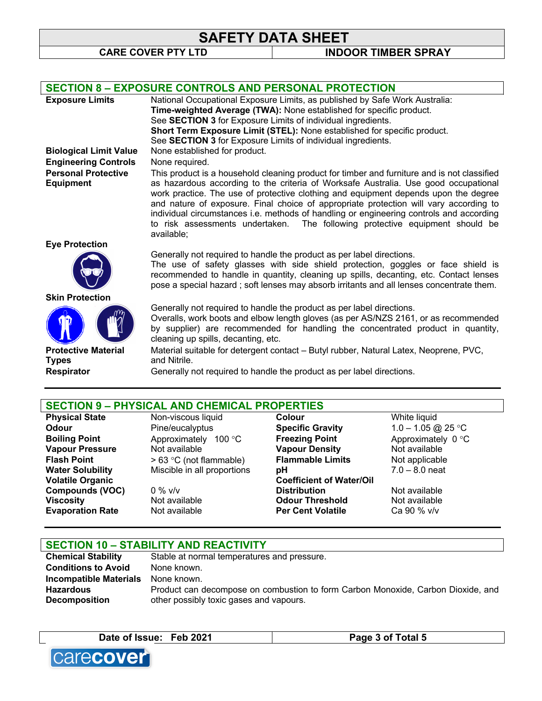**CARE COVER PTY LTD INDOOR TIMBER SPRAY**

| <b>SECTION 8 - EXPOSURE CONTROLS AND PERSONAL PROTECTION</b>                 |                                               |                                                                       |                                                                                                                                                                                                                                                                                                                                                                                                                |
|------------------------------------------------------------------------------|-----------------------------------------------|-----------------------------------------------------------------------|----------------------------------------------------------------------------------------------------------------------------------------------------------------------------------------------------------------------------------------------------------------------------------------------------------------------------------------------------------------------------------------------------------------|
| <b>Exposure Limits</b>                                                       |                                               |                                                                       | National Occupational Exposure Limits, as published by Safe Work Australia:                                                                                                                                                                                                                                                                                                                                    |
|                                                                              |                                               | Time-weighted Average (TWA): None established for specific product.   |                                                                                                                                                                                                                                                                                                                                                                                                                |
|                                                                              |                                               | See SECTION 3 for Exposure Limits of individual ingredients.          |                                                                                                                                                                                                                                                                                                                                                                                                                |
|                                                                              |                                               |                                                                       | Short Term Exposure Limit (STEL): None established for specific product.                                                                                                                                                                                                                                                                                                                                       |
|                                                                              |                                               | See SECTION 3 for Exposure Limits of individual ingredients.          |                                                                                                                                                                                                                                                                                                                                                                                                                |
| <b>Biological Limit Value</b>                                                | None established for product.                 |                                                                       |                                                                                                                                                                                                                                                                                                                                                                                                                |
| <b>Engineering Controls</b>                                                  | None required.                                |                                                                       |                                                                                                                                                                                                                                                                                                                                                                                                                |
| <b>Personal Protective</b>                                                   |                                               |                                                                       | This product is a household cleaning product for timber and furniture and is not classified                                                                                                                                                                                                                                                                                                                    |
| <b>Equipment</b>                                                             | to risk assessments undertaken.<br>available; |                                                                       | as hazardous according to the criteria of Worksafe Australia. Use good occupational<br>work practice. The use of protective clothing and equipment depends upon the degree<br>and nature of exposure. Final choice of appropriate protection will vary according to<br>individual circumstances i.e. methods of handling or engineering controls and according<br>The following protective equipment should be |
| <b>Eye Protection</b>                                                        |                                               |                                                                       |                                                                                                                                                                                                                                                                                                                                                                                                                |
|                                                                              |                                               | Generally not required to handle the product as per label directions. | The use of safety glasses with side shield protection, goggles or face shield is<br>recommended to handle in quantity, cleaning up spills, decanting, etc. Contact lenses<br>pose a special hazard; soft lenses may absorb irritants and all lenses concentrate them.                                                                                                                                          |
| <b>Skin Protection</b>                                                       |                                               |                                                                       |                                                                                                                                                                                                                                                                                                                                                                                                                |
|                                                                              | cleaning up spills, decanting, etc.           | Generally not required to handle the product as per label directions. | Overalls, work boots and elbow length gloves (as per AS/NZS 2161, or as recommended<br>by supplier) are recommended for handling the concentrated product in quantity,                                                                                                                                                                                                                                         |
| <b>Protective Material</b>                                                   |                                               |                                                                       | Material suitable for detergent contact – Butyl rubber, Natural Latex, Neoprene, PVC,                                                                                                                                                                                                                                                                                                                          |
| <b>Types</b>                                                                 | and Nitrile.                                  |                                                                       |                                                                                                                                                                                                                                                                                                                                                                                                                |
| <b>Respirator</b>                                                            |                                               | Generally not required to handle the product as per label directions. |                                                                                                                                                                                                                                                                                                                                                                                                                |
|                                                                              |                                               |                                                                       |                                                                                                                                                                                                                                                                                                                                                                                                                |
| <b>SECTION 9 - PHYSICAL AND CHEMICAL PROPERTIES</b><br><b>Physical State</b> | Non-viscous liquid                            | Colour                                                                | White liquid                                                                                                                                                                                                                                                                                                                                                                                                   |
|                                                                              |                                               |                                                                       |                                                                                                                                                                                                                                                                                                                                                                                                                |

**Volatile Organic Compounds (VOC)** 0 % v/v **Evaporation Rate** 

Approximately 100 °C **Freezing Point**<br>
Not available **Connect Construment Vapour Density** 

**Odour** Pine/eucalyptus **Specific Gravity** 1.0 – 1.05 @ 25 °C<br> **Boiling Point** Approximately 100 °C **Freezing Point** Approximately 0 °C **Vapour Pressure** Not available **Vapour Density** Not available **Flash Point**  $> 63 °C$  (not flammable) **Flammable Limits** Not applicable **Water Solubility** Miscible in all proportions **pH** 7.0 - 8.0 neat **Water Solubility** Miscible in all proportions **pH** 7.0 – 8.0 neat **Coefficient of Water/Oil Distribution** Not available **Viscosity Not available <b>Odour Threshold** Mot available<br> **Evaporation Rate** Mot available **Der Cent Volatile** Ca 90 % v/v

## **SECTION 10 – STABILITY AND REACTIVITY**

| <b>Chemical Stability</b>     | Stable at normal temperatures and pressure.                                      |
|-------------------------------|----------------------------------------------------------------------------------|
| <b>Conditions to Avoid</b>    | None known.                                                                      |
| <b>Incompatible Materials</b> | None known.                                                                      |
| <b>Hazardous</b>              | Product can decompose on combustion to form Carbon Monoxide, Carbon Dioxide, and |
| Decomposition                 | other possibly toxic gases and vapours.                                          |
|                               |                                                                                  |

Date of Issue: Feb 2021 **Page 3 of Total 5** 

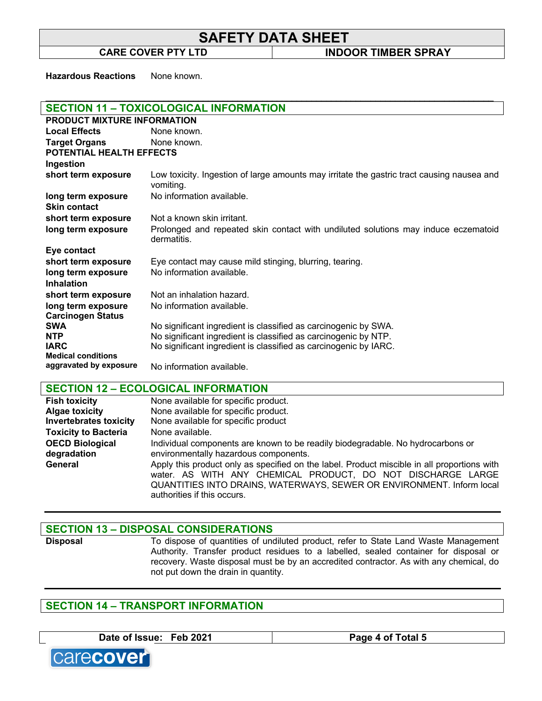\_\_\_\_\_\_\_\_\_\_\_\_\_\_\_\_\_\_\_\_\_\_\_\_\_\_\_\_\_\_\_\_\_\_\_\_\_\_\_\_\_\_\_\_\_\_\_\_\_\_\_\_\_\_\_\_\_\_\_\_\_\_\_\_\_\_\_\_\_\_\_\_\_\_\_\_\_\_\_\_\_\_\_\_\_\_\_\_\_\_\_

**CARE COVER PTY LTD INDOOR TIMBER SPRAY**

**Hazardous Reactions** None known.

| <b>SECTION 11 - TOXICOLOGICAL INFORMATION</b>       |                                                                                                         |  |
|-----------------------------------------------------|---------------------------------------------------------------------------------------------------------|--|
| <b>PRODUCT MIXTURE INFORMATION</b>                  |                                                                                                         |  |
| <b>Local Effects</b>                                | None known.                                                                                             |  |
| <b>Target Organs</b>                                | None known.                                                                                             |  |
| <b>POTENTIAL HEALTH EFFECTS</b>                     |                                                                                                         |  |
| Ingestion                                           |                                                                                                         |  |
| short term exposure                                 | Low toxicity. Ingestion of large amounts may irritate the gastric tract causing nausea and<br>vomiting. |  |
| long term exposure                                  | No information available.                                                                               |  |
| <b>Skin contact</b>                                 |                                                                                                         |  |
| short term exposure                                 | Not a known skin irritant.                                                                              |  |
| long term exposure                                  | Prolonged and repeated skin contact with undiluted solutions may induce eczematoid<br>dermatitis.       |  |
| Eye contact                                         |                                                                                                         |  |
| short term exposure                                 | Eye contact may cause mild stinging, blurring, tearing.                                                 |  |
| long term exposure                                  | No information available.                                                                               |  |
| <b>Inhalation</b>                                   |                                                                                                         |  |
| short term exposure                                 | Not an inhalation hazard.                                                                               |  |
| long term exposure                                  | No information available.                                                                               |  |
| <b>Carcinogen Status</b>                            |                                                                                                         |  |
| <b>SWA</b>                                          | No significant ingredient is classified as carcinogenic by SWA.                                         |  |
| <b>NTP</b>                                          | No significant ingredient is classified as carcinogenic by NTP.                                         |  |
| <b>IARC</b>                                         | No significant ingredient is classified as carcinogenic by IARC.                                        |  |
| <b>Medical conditions</b><br>aggravated by exposure |                                                                                                         |  |
|                                                     | No information available.                                                                               |  |

**SECTION 12 – ECOLOGICAL INFORMATION**

| <b>Fish toxicity</b>          | None available for specific product.                                                                                                                                                                                                                               |
|-------------------------------|--------------------------------------------------------------------------------------------------------------------------------------------------------------------------------------------------------------------------------------------------------------------|
| <b>Algae toxicity</b>         | None available for specific product.                                                                                                                                                                                                                               |
| <b>Invertebrates toxicity</b> | None available for specific product                                                                                                                                                                                                                                |
| <b>Toxicity to Bacteria</b>   | None available.                                                                                                                                                                                                                                                    |
| <b>OECD Biological</b>        | Individual components are known to be readily biodegradable. No hydrocarbons or                                                                                                                                                                                    |
| degradation                   | environmentally hazardous components.                                                                                                                                                                                                                              |
| General                       | Apply this product only as specified on the label. Product miscible in all proportions with<br>water. AS WITH ANY CHEMICAL PRODUCT, DO NOT DISCHARGE LARGE<br>QUANTITIES INTO DRAINS, WATERWAYS, SEWER OR ENVIRONMENT. Inform local<br>authorities if this occurs. |

#### **SECTION 13 – DISPOSAL CONSIDERATIONS**

**Disposal** To dispose of quantities of undiluted product, refer to State Land Waste Management Authority. Transfer product residues to a labelled, sealed container for disposal or recovery. Waste disposal must be by an accredited contractor. As with any chemical, do not put down the drain in quantity.

## **SECTION 14 – TRANSPORT INFORMATION**

Date of Issue: Feb 2021 **Page 4 of Total 5**